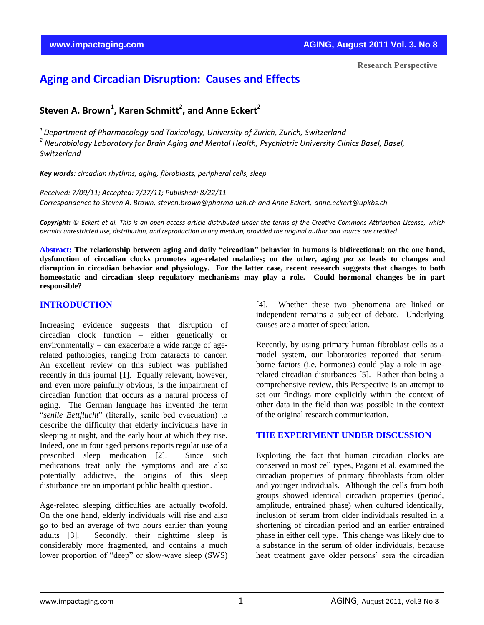# **Aging and Circadian Disruption: Causes and Effects**

## **Steven A. Brown<sup>1</sup> , Karen Schmitt<sup>2</sup> , and Anne Eckert<sup>2</sup>**

*<sup>1</sup>Department of Pharmacology and Toxicology, University of Zurich, Zurich, Switzerland <sup>2</sup> Neurobiology Laboratory for Brain Aging and Mental Health, Psychiatric University Clinics Basel, Basel, Switzerland*

*Key words: circadian rhythms, aging, fibroblasts, peripheral cells, sleep*

*Received: 7/09/11; Accepted: 7/27/11; Published: 8/22/11 Correspondence to Steven A. Brown[, steven.brown@pharma.uzh.ch](mailto:steven.brown@pharma.uzh.ch) and Anne Eckert, [anne.eckert@upkbs.ch](mailto:anne.eckert@upkbs.ch)*

*Copyright: © Eckert et al. This is an open-access article distributed under the terms of the Creative Commons Attribution License, which permits unrestricted use, distribution, and reproduction in any medium, provided the original author and source are credited*

**Abstract: The relationship between aging and daily "circadian" behavior in humans is bidirectional: on the one hand, dysfunction of circadian clocks promotes age-related maladies; on the other, aging** *per se* **leads to changes and disruption in circadian behavior and physiology. For the latter case, recent research suggests that changes to both homeostatic and circadian sleep regulatory mechanisms may play a role. Could hormonal changes be in part responsible?**

#### **INTRODUCTION**

Increasing evidence suggests that disruption of circadian clock function – either genetically or environmentally – can exacerbate a wide range of agerelated pathologies, ranging from cataracts to cancer. An excellent review on this subject was published recently in this journal [1]. Equally relevant, however, and even more painfully obvious, is the impairment of circadian function that occurs as a natural process of aging. The German language has invented the term "*senile Bettflucht*" (literally, senile bed evacuation) to describe the difficulty that elderly individuals have in sleeping at night, and the early hour at which they rise. Indeed, one in four aged persons reports regular use of a prescribed sleep medication [2]. Since such medications treat only the symptoms and are also potentially addictive, the origins of this sleep disturbance are an important public health question.

Age-related sleeping difficulties are actually twofold. On the one hand, elderly individuals will rise and also go to bed an average of two hours earlier than young adults [3]. Secondly, their nighttime sleep is considerably more fragmented, and contains a much lower proportion of "deep" or slow-wave sleep (SWS) [4]. Whether these two phenomena are linked or independent remains a subject of debate. Underlying causes are a matter of speculation.

Recently, by using primary human fibroblast cells as a model system, our laboratories reported that serumborne factors (i.e. hormones) could play a role in agerelated circadian disturbances [5]. Rather than being a comprehensive review, this Perspective is an attempt to set our findings more explicitly within the context of other data in the field than was possible in the context of the original research communication.

#### **THE EXPERIMENT UNDER DISCUSSION**

Exploiting the fact that human circadian clocks are conserved in most cell types, Pagani et al. examined the circadian properties of primary fibroblasts from older and younger individuals. Although the cells from both groups showed identical circadian properties (period, amplitude, entrained phase) when cultured identically, inclusion of serum from older individuals resulted in a shortening of circadian period and an earlier entrained phase in either cell type. This change was likely due to a substance in the serum of older individuals, because heat treatment gave older persons' sera the circadian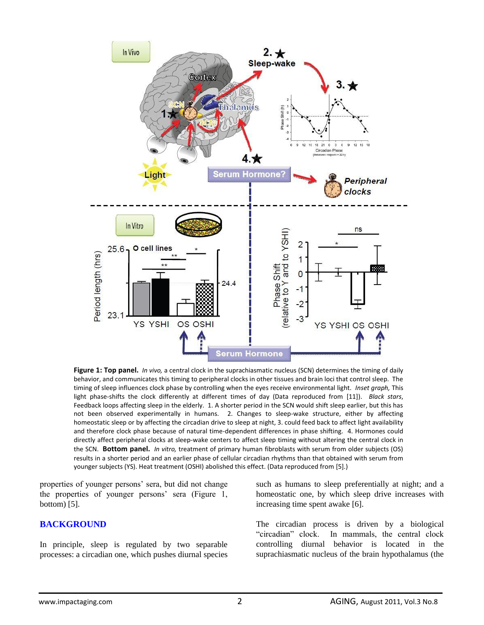

**Figure 1: Top panel.** *In vivo,* a central clock in the suprachiasmatic nucleus (SCN) determines the timing of daily behavior, and communicates this timing to peripheral clocks in other tissues and brain loci that control sleep. The timing of sleep influences clock phase by controlling when the eyes receive environmental light. *Inset graph,* This light phase-shifts the clock differently at different times of day (Data reproduced from [11]). *Black stars*, Feedback loops affecting sleep in the elderly. 1. A shorter period in the SCN would shift sleep earlier, but this has not been observed experimentally in humans. 2. Changes to sleep-wake structure, either by affecting homeostatic sleep or by affecting the circadian drive to sleep at night, 3. could feed back to affect light availability and therefore clock phase because of natural time-dependent differences in phase shifting. 4. Hormones could directly affect peripheral clocks at sleep-wake centers to affect sleep timing without altering the central clock in the SCN. **Bottom panel.** *In vitro,* treatment of primary human fibroblasts with serum from older subjects (OS) results in a shorter period and an earlier phase of cellular circadian rhythms than that obtained with serum from younger subjects (YS). Heat treatment (OSHI) abolished this effect. (Data reproduced from [5].)

properties of younger persons' sera, but did not change the properties of younger persons' sera (Figure 1, bottom) [5].

#### **BACKGROUND**

In principle, sleep is regulated by two separable processes: a circadian one, which pushes diurnal species such as humans to sleep preferentially at night; and a homeostatic one, by which sleep drive increases with increasing time spent awake [6].

The circadian process is driven by a biological "circadian" clock. In mammals, the central clock controlling diurnal behavior is located in the suprachiasmatic nucleus of the brain hypothalamus (the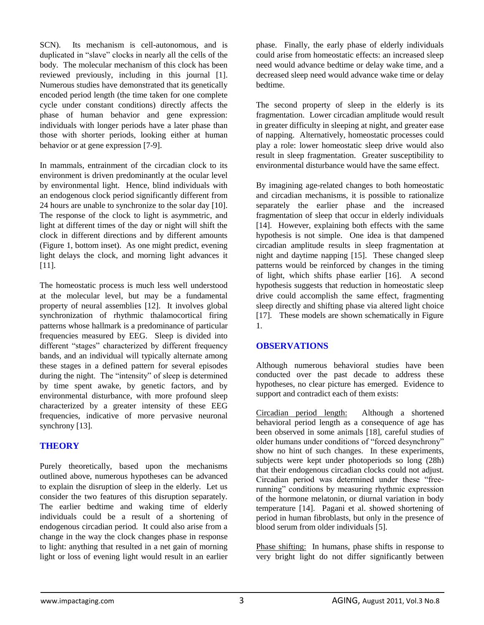SCN). Its mechanism is cell-autonomous, and is duplicated in "slave" clocks in nearly all the cells of the body. The molecular mechanism of this clock has been reviewed previously, including in this journal [1]. Numerous studies have demonstrated that its genetically encoded period length (the time taken for one complete cycle under constant conditions) directly affects the phase of human behavior and gene expression: individuals with longer periods have a later phase than those with shorter periods, looking either at human behavior or at gene expression [7-9].

In mammals, entrainment of the circadian clock to its environment is driven predominantly at the ocular level by environmental light. Hence, blind individuals with an endogenous clock period significantly different from 24 hours are unable to synchronize to the solar day [10]. The response of the clock to light is asymmetric, and light at different times of the day or night will shift the clock in different directions and by different amounts (Figure 1, bottom inset). As one might predict, evening light delays the clock, and morning light advances it [11].

The homeostatic process is much less well understood at the molecular level, but may be a fundamental property of neural assemblies [12]. It involves global synchronization of rhythmic thalamocortical firing patterns whose hallmark is a predominance of particular frequencies measured by EEG. Sleep is divided into different "stages" characterized by different frequency bands, and an individual will typically alternate among these stages in a defined pattern for several episodes during the night. The "intensity" of sleep is determined by time spent awake, by genetic factors, and by environmental disturbance, with more profound sleep characterized by a greater intensity of these EEG frequencies, indicative of more pervasive neuronal synchrony [13].

## **THEORY**

Purely theoretically, based upon the mechanisms outlined above, numerous hypotheses can be advanced to explain the disruption of sleep in the elderly. Let us consider the two features of this disruption separately. The earlier bedtime and waking time of elderly individuals could be a result of a shortening of endogenous circadian period. It could also arise from a change in the way the clock changes phase in response to light: anything that resulted in a net gain of morning light or loss of evening light would result in an earlier

phase. Finally, the early phase of elderly individuals could arise from homeostatic effects: an increased sleep need would advance bedtime or delay wake time, and a decreased sleep need would advance wake time or delay bedtime.

The second property of sleep in the elderly is its fragmentation. Lower circadian amplitude would result in greater difficulty in sleeping at night, and greater ease of napping. Alternatively, homeostatic processes could play a role: lower homeostatic sleep drive would also result in sleep fragmentation. Greater susceptibility to environmental disturbance would have the same effect.

By imagining age-related changes to both homeostatic and circadian mechanisms, it is possible to rationalize separately the earlier phase and the increased fragmentation of sleep that occur in elderly individuals [14]. However, explaining both effects with the same hypothesis is not simple. One idea is that dampened circadian amplitude results in sleep fragmentation at night and daytime napping [15]. These changed sleep patterns would be reinforced by changes in the timing of light, which shifts phase earlier [16]. A second hypothesis suggests that reduction in homeostatic sleep drive could accomplish the same effect, fragmenting sleep directly and shifting phase via altered light choice [17]. These models are shown schematically in Figure 1.

## **OBSERVATIONS**

Although numerous behavioral studies have been conducted over the past decade to address these hypotheses, no clear picture has emerged. Evidence to support and contradict each of them exists:

Circadian period length: Although a shortened behavioral period length as a consequence of age has been observed in some animals [18], careful studies of older humans under conditions of "forced desynchrony" show no hint of such changes. In these experiments, subjects were kept under photoperiods so long (28h) that their endogenous circadian clocks could not adjust. Circadian period was determined under these "freerunning" conditions by measuring rhythmic expression of the hormone melatonin, or diurnal variation in body temperature [14]. Pagani et al. showed shortening of period in human fibroblasts, but only in the presence of blood serum from older individuals [5].

Phase shifting: In humans, phase shifts in response to very bright light do not differ significantly between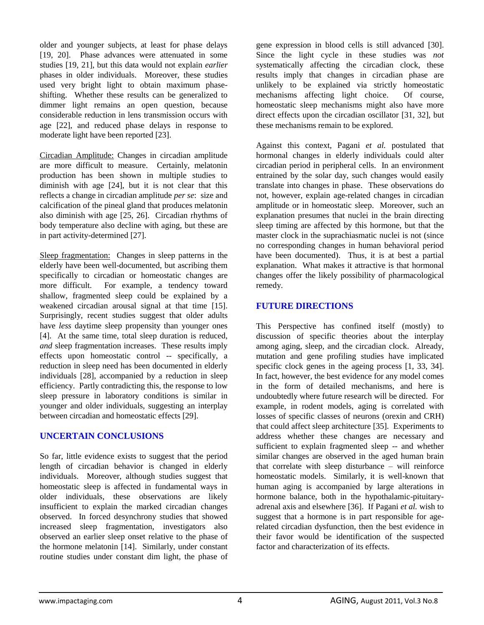older and younger subjects, at least for phase delays [19, 20]. Phase advances were attenuated in some studies [19, 21], but this data would not explain *earlier* phases in older individuals. Moreover, these studies used very bright light to obtain maximum phaseshifting. Whether these results can be generalized to dimmer light remains an open question, because considerable reduction in lens transmission occurs with age [22], and reduced phase delays in response to moderate light have been reported [23].

Circadian Amplitude: Changes in circadian amplitude are more difficult to measure. Certainly, melatonin production has been shown in multiple studies to diminish with age [24], but it is not clear that this reflects a change in circadian amplitude *per se*: size and calcification of the pineal gland that produces melatonin also diminish with age [25, 26]. Circadian rhythms of body temperature also decline with aging, but these are in part activity-determined [27].

Sleep fragmentation: Changes in sleep patterns in the elderly have been well-documented, but ascribing them specifically to circadian or homeostatic changes are more difficult. For example, a tendency toward shallow, fragmented sleep could be explained by a weakened circadian arousal signal at that time [15]. Surprisingly, recent studies suggest that older adults have *less* daytime sleep propensity than younger ones [4]. At the same time, total sleep duration is reduced, *and* sleep fragmentation increases. These results imply effects upon homeostatic control -- specifically, a reduction in sleep need has been documented in elderly individuals [28], accompanied by a reduction in sleep efficiency. Partly contradicting this, the response to low sleep pressure in laboratory conditions is similar in younger and older individuals, suggesting an interplay between circadian and homeostatic effects [29].

## **UNCERTAIN CONCLUSIONS**

So far, little evidence exists to suggest that the period length of circadian behavior is changed in elderly individuals. Moreover, although studies suggest that homeostatic sleep is affected in fundamental ways in older individuals, these observations are likely insufficient to explain the marked circadian changes observed. In forced desynchrony studies that showed increased sleep fragmentation, investigators also observed an earlier sleep onset relative to the phase of the hormone melatonin [14]. Similarly, under constant routine studies under constant dim light, the phase of gene expression in blood cells is still advanced [30]. Since the light cycle in these studies was *not* systematically affecting the circadian clock, these results imply that changes in circadian phase are unlikely to be explained via strictly homeostatic mechanisms affecting light choice. Of course, homeostatic sleep mechanisms might also have more direct effects upon the circadian oscillator [31, 32], but these mechanisms remain to be explored.

Against this context, Pagani *et al.* postulated that hormonal changes in elderly individuals could alter circadian period in peripheral cells. In an environment entrained by the solar day, such changes would easily translate into changes in phase. These observations do not, however, explain age-related changes in circadian amplitude or in homeostatic sleep. Moreover, such an explanation presumes that nuclei in the brain directing sleep timing are affected by this hormone, but that the master clock in the suprachiasmatic nuclei is not (since no corresponding changes in human behavioral period have been documented). Thus, it is at best a partial explanation. What makes it attractive is that hormonal changes offer the likely possibility of pharmacological remedy.

## **FUTURE DIRECTIONS**

This Perspective has confined itself (mostly) to discussion of specific theories about the interplay among aging, sleep, and the circadian clock. Already, mutation and gene profiling studies have implicated specific clock genes in the ageing process [1, 33, 34]. In fact, however, the best evidence for any model comes in the form of detailed mechanisms, and here is undoubtedly where future research will be directed. For example, in rodent models, aging is correlated with losses of specific classes of neurons (orexin and CRH) that could affect sleep architecture [35]. Experiments to address whether these changes are necessary and sufficient to explain fragmented sleep -- and whether similar changes are observed in the aged human brain that correlate with sleep disturbance – will reinforce homeostatic models. Similarly, it is well-known that human aging is accompanied by large alterations in hormone balance, both in the hypothalamic-pituitaryadrenal axis and elsewhere [36]. If Pagani *et al.* wish to suggest that a hormone is in part responsible for agerelated circadian dysfunction, then the best evidence in their favor would be identification of the suspected factor and characterization of its effects.